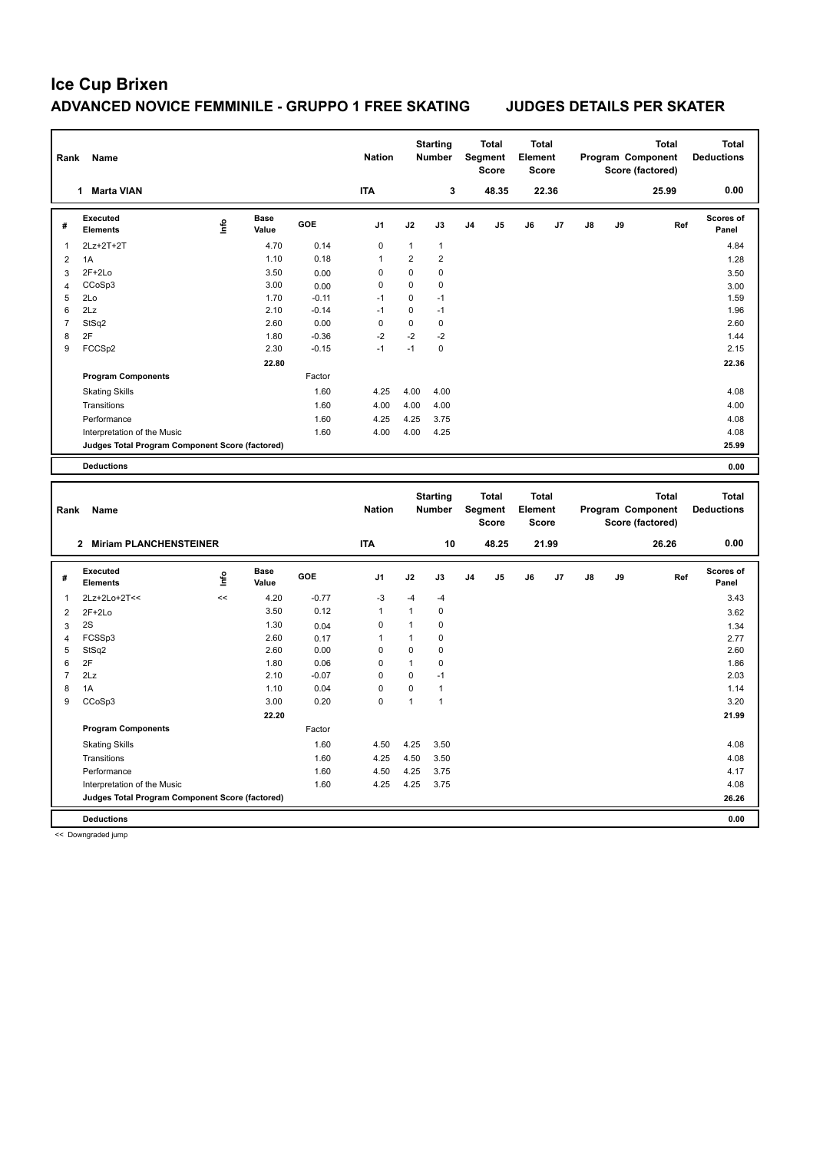| Rank           | Name                                            |       |                      |         | <b>Nation</b> |                | <b>Starting</b><br><b>Number</b> |                | <b>Total</b><br>Segment<br><b>Score</b> | <b>Total</b><br>Element<br><b>Score</b> |       |    |    | <b>Total</b><br>Program Component<br>Score (factored) | <b>Total</b><br><b>Deductions</b> |
|----------------|-------------------------------------------------|-------|----------------------|---------|---------------|----------------|----------------------------------|----------------|-----------------------------------------|-----------------------------------------|-------|----|----|-------------------------------------------------------|-----------------------------------|
|                | 1 Marta VIAN                                    |       |                      |         | <b>ITA</b>    |                | 3                                |                | 48.35                                   |                                         | 22.36 |    |    | 25.99                                                 | 0.00                              |
| #              | <b>Executed</b><br>Elements                     | ١nfo  | <b>Base</b><br>Value | GOE     | J1            | J2             | J3                               | J <sub>4</sub> | J5                                      | J6                                      | J7    | J8 | J9 | Ref                                                   | <b>Scores of</b><br>Panel         |
| $\mathbf{1}$   | 2Lz+2T+2T                                       |       | 4.70                 | 0.14    | $\mathbf 0$   | $\mathbf{1}$   | $\mathbf{1}$                     |                |                                         |                                         |       |    |    |                                                       | 4.84                              |
| $\overline{2}$ | 1A                                              |       | 1.10                 | 0.18    | $\mathbf{1}$  | $\overline{2}$ | $\overline{\mathbf{c}}$          |                |                                         |                                         |       |    |    |                                                       | 1.28                              |
| 3              | $2F+2Lo$                                        |       | 3.50                 | 0.00    | 0             | $\mathbf 0$    | 0                                |                |                                         |                                         |       |    |    |                                                       | 3.50                              |
| $\overline{4}$ | CCoSp3                                          |       | 3.00                 | 0.00    | 0             | $\mathbf 0$    | 0                                |                |                                         |                                         |       |    |    |                                                       | 3.00                              |
| 5              | 2Lo                                             |       | 1.70                 | $-0.11$ | $-1$          | $\mathbf 0$    | $-1$                             |                |                                         |                                         |       |    |    |                                                       | 1.59                              |
| 6              | 2Lz                                             |       | 2.10                 | $-0.14$ | $-1$          | $\mathbf 0$    | $-1$                             |                |                                         |                                         |       |    |    |                                                       | 1.96                              |
| $\overline{7}$ | StSq2                                           |       | 2.60                 | 0.00    | 0             | $\mathbf 0$    | $\mathbf 0$                      |                |                                         |                                         |       |    |    |                                                       | 2.60                              |
| 8              | 2F                                              |       | 1.80                 | $-0.36$ | $-2$          | $-2$           | $-2$                             |                |                                         |                                         |       |    |    |                                                       | 1.44                              |
| 9              | FCCSp2                                          |       | 2.30                 | $-0.15$ | $-1$          | $-1$           | 0                                |                |                                         |                                         |       |    |    |                                                       | 2.15                              |
|                |                                                 |       | 22.80                |         |               |                |                                  |                |                                         |                                         |       |    |    |                                                       | 22.36                             |
|                | <b>Program Components</b>                       |       |                      | Factor  |               |                |                                  |                |                                         |                                         |       |    |    |                                                       |                                   |
|                | <b>Skating Skills</b>                           |       |                      | 1.60    | 4.25          | 4.00           | 4.00                             |                |                                         |                                         |       |    |    |                                                       | 4.08                              |
|                | Transitions                                     |       |                      | 1.60    | 4.00          | 4.00           | 4.00                             |                |                                         |                                         |       |    |    |                                                       | 4.00                              |
|                | Performance                                     |       |                      | 1.60    | 4.25          | 4.25           | 3.75                             |                |                                         |                                         |       |    |    |                                                       | 4.08                              |
|                | Interpretation of the Music                     |       |                      | 1.60    | 4.00          | 4.00           | 4.25                             |                |                                         |                                         |       |    |    |                                                       | 4.08                              |
|                | Judges Total Program Component Score (factored) |       |                      |         |               |                |                                  |                |                                         |                                         |       |    |    |                                                       | 25.99                             |
|                | <b>Deductions</b>                               |       |                      |         |               |                |                                  |                |                                         |                                         |       |    |    |                                                       | 0.00                              |
|                |                                                 |       |                      |         |               |                |                                  |                |                                         |                                         |       |    |    |                                                       |                                   |
|                |                                                 |       |                      |         |               |                |                                  |                |                                         |                                         |       |    |    |                                                       |                                   |
| Rank           | Name                                            |       |                      |         | <b>Nation</b> |                | <b>Starting</b><br>Number        |                | <b>Total</b><br>Segment<br><b>Score</b> | Total<br>Element<br>Score               |       |    |    | <b>Total</b><br>Program Component<br>Score (factored) | <b>Total</b><br><b>Deductions</b> |
|                | 2 Miriam PLANCHENSTEINER                        |       |                      |         | <b>ITA</b>    |                | 10                               |                | 48.25                                   |                                         | 21.99 |    |    | 26.26                                                 | 0.00                              |
| #              | Executed<br><b>Elements</b>                     | lnfo  | <b>Base</b><br>Value | GOE     | J1            | J2             | J3                               | J <sub>4</sub> | J5                                      | J6                                      | J7    | J8 | J9 | Ref                                                   | Scores of<br>Panel                |
| 1              | 2Lz+2Lo+2T<<                                    | $\,<$ | 4.20                 | $-0.77$ | -3            | $-4$           | $-4$                             |                |                                         |                                         |       |    |    |                                                       | 3.43                              |
| $\overline{2}$ | $2F+2Lo$                                        |       | 3.50                 | 0.12    | $\mathbf{1}$  | $\mathbf{1}$   | $\pmb{0}$                        |                |                                         |                                         |       |    |    |                                                       | 3.62                              |
| 3              | 2S                                              |       | 1.30                 | 0.04    | $\mathbf 0$   | $\mathbf{1}$   | 0                                |                |                                         |                                         |       |    |    |                                                       | 1.34                              |
| 4              | FCSSp3                                          |       | 2.60                 | 0.17    | 1             | 1              | 0                                |                |                                         |                                         |       |    |    |                                                       | 2.77                              |
| 5              | StSq2                                           |       | 2.60                 | 0.00    | 0             | $\mathbf 0$    | 0                                |                |                                         |                                         |       |    |    |                                                       | 2.60                              |
| 6              | 2F                                              |       | 1.80                 | 0.06    | $\pmb{0}$     | 1              | 0                                |                |                                         |                                         |       |    |    |                                                       | 1.86                              |
| $\overline{7}$ | 2Lz                                             |       | 2.10                 | $-0.07$ | 0             | $\mathbf 0$    | $-1$                             |                |                                         |                                         |       |    |    |                                                       | 2.03                              |
| 8              | 1A                                              |       | 1.10                 | 0.04    | $\pmb{0}$     | $\mathbf 0$    | $\mathbf{1}$                     |                |                                         |                                         |       |    |    |                                                       | 1.14                              |
| 9              | CCoSp3                                          |       | 3.00                 | 0.20    | $\mathbf 0$   | $\mathbf{1}$   | 1                                |                |                                         |                                         |       |    |    |                                                       | 3.20                              |
|                |                                                 |       | 22.20                |         |               |                |                                  |                |                                         |                                         |       |    |    |                                                       | 21.99                             |
|                | <b>Program Components</b>                       |       |                      | Factor  |               |                |                                  |                |                                         |                                         |       |    |    |                                                       |                                   |
|                | <b>Skating Skills</b>                           |       |                      | 1.60    | 4.50          | 4.25           | 3.50                             |                |                                         |                                         |       |    |    |                                                       | 4.08                              |
|                | Transitions                                     |       |                      | 1.60    | 4.25          | 4.50           | 3.50                             |                |                                         |                                         |       |    |    |                                                       | 4.08                              |
|                | Performance                                     |       |                      | 1.60    | 4.50          | 4.25           | 3.75                             |                |                                         |                                         |       |    |    |                                                       | 4.17                              |
|                | Interpretation of the Music                     |       |                      | 1.60    | 4.25          | 4.25           | 3.75                             |                |                                         |                                         |       |    |    |                                                       | 4.08                              |
|                | Judges Total Program Component Score (factored) |       |                      |         |               |                |                                  |                |                                         |                                         |       |    |    |                                                       | 26.26                             |

<< Downgraded jump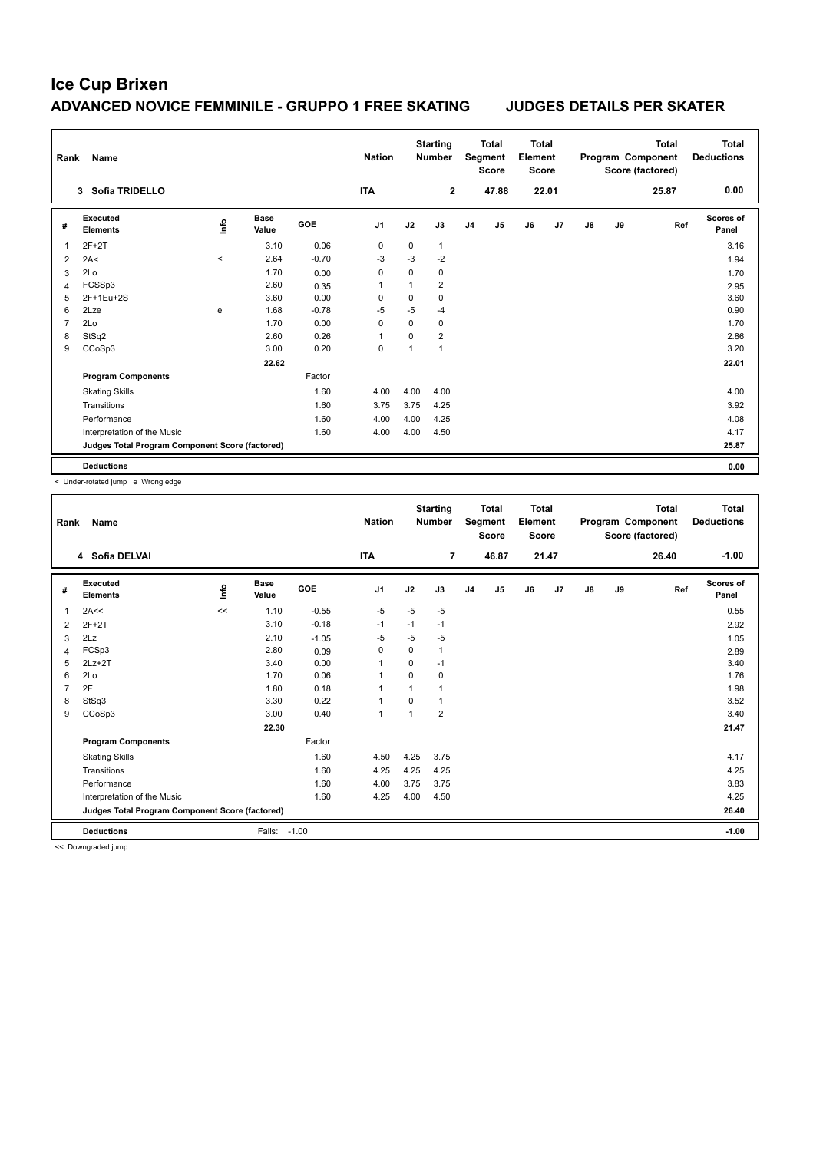| Rank           | Name                                            |          |                      |            | <b>Nation</b>  |          | <b>Starting</b><br><b>Number</b> |                | <b>Total</b><br>Segment<br><b>Score</b> | <b>Total</b><br>Element<br><b>Score</b> |                |               |    | <b>Total</b><br>Program Component<br>Score (factored) | Total<br><b>Deductions</b> |
|----------------|-------------------------------------------------|----------|----------------------|------------|----------------|----------|----------------------------------|----------------|-----------------------------------------|-----------------------------------------|----------------|---------------|----|-------------------------------------------------------|----------------------------|
|                | 3 Sofia TRIDELLO                                |          |                      |            | <b>ITA</b>     |          | 2                                |                | 47.88                                   |                                         | 22.01          |               |    | 25.87                                                 | 0.00                       |
| #              | Executed<br><b>Elements</b>                     | ۴ů       | <b>Base</b><br>Value | <b>GOE</b> | J <sub>1</sub> | J2       | J3                               | J <sub>4</sub> | J <sub>5</sub>                          | J6                                      | J <sub>7</sub> | $\mathsf{J}8$ | J9 | Ref                                                   | <b>Scores of</b><br>Panel  |
| 1              | $2F+2T$                                         |          | 3.10                 | 0.06       | 0              | 0        | $\mathbf{1}$                     |                |                                         |                                         |                |               |    |                                                       | 3.16                       |
| $\overline{2}$ | 2A<                                             | $\hat{}$ | 2.64                 | $-0.70$    | $-3$           | $-3$     | $-2$                             |                |                                         |                                         |                |               |    |                                                       | 1.94                       |
| 3              | 2Lo                                             |          | 1.70                 | 0.00       | 0              | 0        | 0                                |                |                                         |                                         |                |               |    |                                                       | 1.70                       |
| 4              | FCSSp3                                          |          | 2.60                 | 0.35       | 1              | 1        | $\overline{2}$                   |                |                                         |                                         |                |               |    |                                                       | 2.95                       |
| 5              | 2F+1Eu+2S                                       |          | 3.60                 | 0.00       | 0              | 0        | $\mathbf 0$                      |                |                                         |                                         |                |               |    |                                                       | 3.60                       |
| 6              | 2Lze                                            | e        | 1.68                 | $-0.78$    | $-5$           | $-5$     | $-4$                             |                |                                         |                                         |                |               |    |                                                       | 0.90                       |
| $\overline{7}$ | 2Lo                                             |          | 1.70                 | 0.00       | $\mathbf 0$    | $\Omega$ | $\mathbf 0$                      |                |                                         |                                         |                |               |    |                                                       | 1.70                       |
| 8              | StSq2                                           |          | 2.60                 | 0.26       | 1              | 0        | $\overline{2}$                   |                |                                         |                                         |                |               |    |                                                       | 2.86                       |
| 9              | CCoSp3                                          |          | 3.00                 | 0.20       | 0              | 1        | $\mathbf{1}$                     |                |                                         |                                         |                |               |    |                                                       | 3.20                       |
|                |                                                 |          | 22.62                |            |                |          |                                  |                |                                         |                                         |                |               |    |                                                       | 22.01                      |
|                | <b>Program Components</b>                       |          |                      | Factor     |                |          |                                  |                |                                         |                                         |                |               |    |                                                       |                            |
|                | <b>Skating Skills</b>                           |          |                      | 1.60       | 4.00           | 4.00     | 4.00                             |                |                                         |                                         |                |               |    |                                                       | 4.00                       |
|                | Transitions                                     |          |                      | 1.60       | 3.75           | 3.75     | 4.25                             |                |                                         |                                         |                |               |    |                                                       | 3.92                       |
|                | Performance                                     |          |                      | 1.60       | 4.00           | 4.00     | 4.25                             |                |                                         |                                         |                |               |    |                                                       | 4.08                       |
|                | Interpretation of the Music                     |          |                      | 1.60       | 4.00           | 4.00     | 4.50                             |                |                                         |                                         |                |               |    |                                                       | 4.17                       |
|                | Judges Total Program Component Score (factored) |          |                      |            |                |          |                                  |                |                                         |                                         |                |               |    |                                                       | 25.87                      |
|                | <b>Deductions</b>                               |          |                      |            |                |          |                                  |                |                                         |                                         |                |               |    |                                                       | 0.00                       |

< Under-rotated jump e Wrong edge

| Rank | Name                                            |      |                      |         | <b>Nation</b>  |          | <b>Starting</b><br><b>Number</b> |                | <b>Total</b><br>Segment<br><b>Score</b> | <b>Total</b><br>Element<br><b>Score</b> |                |               |    | <b>Total</b><br>Program Component<br>Score (factored) | Total<br><b>Deductions</b> |
|------|-------------------------------------------------|------|----------------------|---------|----------------|----------|----------------------------------|----------------|-----------------------------------------|-----------------------------------------|----------------|---------------|----|-------------------------------------------------------|----------------------------|
|      | 4 Sofia DELVAI                                  |      |                      |         | <b>ITA</b>     |          | $\overline{7}$                   |                | 46.87                                   |                                         | 21.47          |               |    | 26.40                                                 | $-1.00$                    |
| #    | Executed<br><b>Elements</b>                     | lnfo | <b>Base</b><br>Value | GOE     | J <sub>1</sub> | J2       | J3                               | J <sub>4</sub> | J <sub>5</sub>                          | J6                                      | J <sub>7</sub> | $\mathsf{J}8$ | J9 | Ref                                                   | Scores of<br>Panel         |
| 1    | 2A<<                                            | <<   | 1.10                 | $-0.55$ | $-5$           | $-5$     | $-5$                             |                |                                         |                                         |                |               |    |                                                       | 0.55                       |
| 2    | $2F+2T$                                         |      | 3.10                 | $-0.18$ | $-1$           | $-1$     | $-1$                             |                |                                         |                                         |                |               |    |                                                       | 2.92                       |
| 3    | 2Lz                                             |      | 2.10                 | $-1.05$ | -5             | $-5$     | $-5$                             |                |                                         |                                         |                |               |    |                                                       | 1.05                       |
| 4    | FCSp3                                           |      | 2.80                 | 0.09    | $\Omega$       | $\Omega$ | 1                                |                |                                         |                                         |                |               |    |                                                       | 2.89                       |
| 5    | $2Lz+2T$                                        |      | 3.40                 | 0.00    | $\mathbf{1}$   | $\Omega$ | $-1$                             |                |                                         |                                         |                |               |    |                                                       | 3.40                       |
| 6    | 2Lo                                             |      | 1.70                 | 0.06    | $\mathbf{1}$   | $\Omega$ | 0                                |                |                                         |                                         |                |               |    |                                                       | 1.76                       |
| 7    | 2F                                              |      | 1.80                 | 0.18    | $\overline{1}$ |          | 1                                |                |                                         |                                         |                |               |    |                                                       | 1.98                       |
| 8    | StSq3                                           |      | 3.30                 | 0.22    | $\mathbf{1}$   | $\Omega$ | 1                                |                |                                         |                                         |                |               |    |                                                       | 3.52                       |
| 9    | CCoSp3                                          |      | 3.00                 | 0.40    | $\mathbf{1}$   |          | $\overline{2}$                   |                |                                         |                                         |                |               |    |                                                       | 3.40                       |
|      |                                                 |      | 22.30                |         |                |          |                                  |                |                                         |                                         |                |               |    |                                                       | 21.47                      |
|      | <b>Program Components</b>                       |      |                      | Factor  |                |          |                                  |                |                                         |                                         |                |               |    |                                                       |                            |
|      | <b>Skating Skills</b>                           |      |                      | 1.60    | 4.50           | 4.25     | 3.75                             |                |                                         |                                         |                |               |    |                                                       | 4.17                       |
|      | Transitions                                     |      |                      | 1.60    | 4.25           | 4.25     | 4.25                             |                |                                         |                                         |                |               |    |                                                       | 4.25                       |
|      | Performance                                     |      |                      | 1.60    | 4.00           | 3.75     | 3.75                             |                |                                         |                                         |                |               |    |                                                       | 3.83                       |
|      | Interpretation of the Music                     |      |                      | 1.60    | 4.25           | 4.00     | 4.50                             |                |                                         |                                         |                |               |    |                                                       | 4.25                       |
|      | Judges Total Program Component Score (factored) |      |                      |         |                |          |                                  |                |                                         |                                         |                |               |    |                                                       | 26.40                      |
|      | <b>Deductions</b>                               |      | Falls:               | $-1.00$ |                |          |                                  |                |                                         |                                         |                |               |    |                                                       | $-1.00$                    |

<< Downgraded jump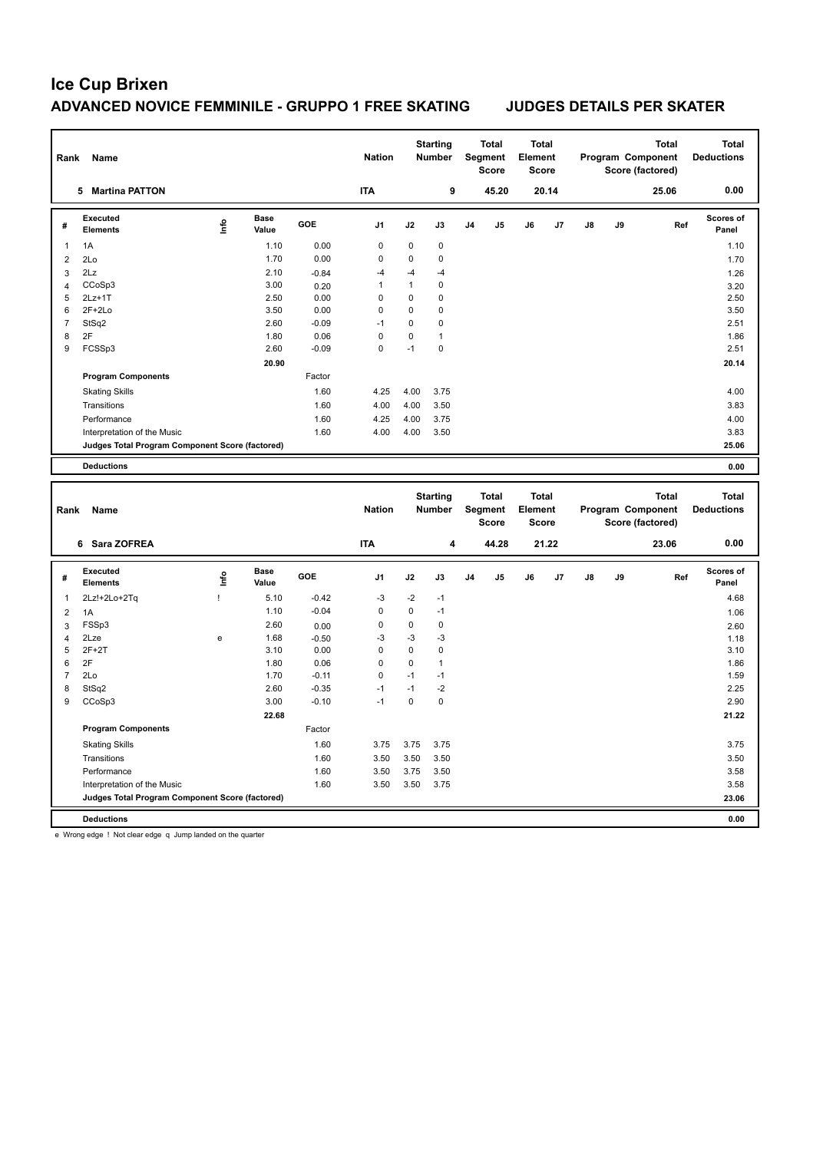| Rank                    | Name                                            |      |                      |         | <b>Nation</b>  |              | <b>Starting</b><br><b>Number</b> |    | <b>Total</b><br>Segment<br>Score | <b>Total</b><br>Element<br>Score |       |    |    | <b>Total</b><br>Program Component<br>Score (factored) | <b>Total</b><br><b>Deductions</b> |
|-------------------------|-------------------------------------------------|------|----------------------|---------|----------------|--------------|----------------------------------|----|----------------------------------|----------------------------------|-------|----|----|-------------------------------------------------------|-----------------------------------|
|                         | 5 Martina PATTON                                |      |                      |         | <b>ITA</b>     |              | 9                                |    | 45.20                            |                                  | 20.14 |    |    | 25.06                                                 | 0.00                              |
| #                       | <b>Executed</b><br><b>Elements</b>              | ۴    | <b>Base</b><br>Value | GOE     | J <sub>1</sub> | J2           | J3                               | J4 | J5                               | J6                               | J7    | J8 | J9 | Ref                                                   | Scores of<br>Panel                |
| 1                       | 1A                                              |      | 1.10                 | 0.00    | $\mathbf 0$    | $\mathbf 0$  | 0                                |    |                                  |                                  |       |    |    |                                                       | 1.10                              |
| $\overline{2}$          | 2Lo                                             |      | 1.70                 | 0.00    | 0              | $\mathbf 0$  | $\mathbf 0$                      |    |                                  |                                  |       |    |    |                                                       | 1.70                              |
| 3                       | 2Lz                                             |      | 2.10                 | $-0.84$ | $-4$           | $-4$         | $-4$                             |    |                                  |                                  |       |    |    |                                                       | 1.26                              |
| $\overline{4}$          | CCoSp3                                          |      | 3.00                 | 0.20    | $\mathbf{1}$   | $\mathbf{1}$ | $\mathbf 0$                      |    |                                  |                                  |       |    |    |                                                       | 3.20                              |
| 5                       | $2Lz+1T$                                        |      | 2.50                 | 0.00    | $\mathbf 0$    | $\mathbf 0$  | $\mathbf 0$                      |    |                                  |                                  |       |    |    |                                                       | 2.50                              |
| 6                       | $2F+2Lo$                                        |      | 3.50                 | 0.00    | 0              | $\mathbf 0$  | 0                                |    |                                  |                                  |       |    |    |                                                       | 3.50                              |
| $\overline{7}$          | StSq2                                           |      | 2.60                 | $-0.09$ | $-1$           | $\mathsf 0$  | 0                                |    |                                  |                                  |       |    |    |                                                       | 2.51                              |
| 8                       | 2F                                              |      | 1.80                 | 0.06    | $\mathbf 0$    | $\pmb{0}$    | $\mathbf{1}$                     |    |                                  |                                  |       |    |    |                                                       | 1.86                              |
| 9                       | FCSSp3                                          |      | 2.60                 | $-0.09$ | $\mathbf 0$    | $-1$         | $\mathbf 0$                      |    |                                  |                                  |       |    |    |                                                       | 2.51                              |
|                         |                                                 |      | 20.90                |         |                |              |                                  |    |                                  |                                  |       |    |    |                                                       | 20.14                             |
|                         | <b>Program Components</b>                       |      |                      | Factor  |                |              |                                  |    |                                  |                                  |       |    |    |                                                       |                                   |
|                         | <b>Skating Skills</b>                           |      |                      | 1.60    | 4.25           | 4.00         | 3.75                             |    |                                  |                                  |       |    |    |                                                       | 4.00                              |
|                         | Transitions                                     |      |                      | 1.60    | 4.00           | 4.00         | 3.50                             |    |                                  |                                  |       |    |    |                                                       | 3.83                              |
|                         | Performance                                     |      |                      | 1.60    | 4.25           | 4.00         | 3.75                             |    |                                  |                                  |       |    |    |                                                       | 4.00                              |
|                         | Interpretation of the Music                     |      |                      | 1.60    | 4.00           | 4.00         | 3.50                             |    |                                  |                                  |       |    |    |                                                       | 3.83                              |
|                         | Judges Total Program Component Score (factored) |      |                      |         |                |              |                                  |    |                                  |                                  |       |    |    |                                                       | 25.06                             |
|                         | <b>Deductions</b>                               |      |                      |         |                |              |                                  |    |                                  |                                  |       |    |    |                                                       | 0.00                              |
|                         |                                                 |      |                      |         |                |              |                                  |    |                                  |                                  |       |    |    |                                                       |                                   |
| Rank                    | Name                                            |      |                      |         | <b>Nation</b>  |              | <b>Starting</b><br><b>Number</b> |    | <b>Total</b><br>Segment<br>Score | <b>Total</b><br>Element<br>Score |       |    |    | <b>Total</b><br>Program Component<br>Score (factored) | <b>Total</b><br><b>Deductions</b> |
|                         | 6 Sara ZOFREA                                   |      |                      |         | <b>ITA</b>     |              | 4                                |    | 44.28                            |                                  | 21.22 |    |    | 23.06                                                 | 0.00                              |
| #                       | Executed<br><b>Elements</b>                     | Life | <b>Base</b><br>Value | GOE     | J1             | J2           | J3                               | J4 | J5                               | J6                               | J7    | J8 | J9 | Ref                                                   | Scores of<br>Panel                |
| 1                       | 2Lz!+2Lo+2Tq                                    | Ţ    | 5.10                 | $-0.42$ | $-3$           | $-2$         | $-1$                             |    |                                  |                                  |       |    |    |                                                       | 4.68                              |
| $\overline{\mathbf{c}}$ | 1A                                              |      | 1.10                 | $-0.04$ | $\pmb{0}$      | $\mathbf 0$  | $-1$                             |    |                                  |                                  |       |    |    |                                                       | 1.06                              |
| 3                       | FSSp3                                           |      | 2.60                 | 0.00    | $\mathbf 0$    | $\mathbf 0$  | $\mathbf 0$                      |    |                                  |                                  |       |    |    |                                                       | 2.60                              |
| $\overline{4}$          | 2Lze                                            | e    | 1.68                 | $-0.50$ | -3             | $-3$         | $-3$                             |    |                                  |                                  |       |    |    |                                                       | 1.18                              |
| 5                       | $2F+2T$                                         |      | 3.10                 | 0.00    | $\mathbf 0$    | $\mathbf 0$  | $\mathbf 0$                      |    |                                  |                                  |       |    |    |                                                       | 3.10                              |
| 6                       | 2F                                              |      | 1.80                 | 0.06    | 0              | $\mathbf 0$  | $\mathbf{1}$                     |    |                                  |                                  |       |    |    |                                                       | 1.86                              |
| $\overline{7}$          | 2Lo                                             |      | 1.70                 | $-0.11$ | $\mathsf 0$    | $-1$         | $-1$                             |    |                                  |                                  |       |    |    |                                                       | 1.59                              |
| 8                       | StSq2                                           |      | 2.60                 | $-0.35$ | $-1$           | $-1$         | $-2$                             |    |                                  |                                  |       |    |    |                                                       | 2.25                              |
| 9                       | CCoSp3                                          |      | 3.00                 | $-0.10$ | $-1$           | $\mathbf 0$  | $\mathbf 0$                      |    |                                  |                                  |       |    |    |                                                       | 2.90                              |
|                         |                                                 |      | 22.68                |         |                |              |                                  |    |                                  |                                  |       |    |    |                                                       | 21.22                             |
|                         | <b>Program Components</b>                       |      |                      | Factor  |                |              |                                  |    |                                  |                                  |       |    |    |                                                       |                                   |
|                         | <b>Skating Skills</b>                           |      |                      | 1.60    | 3.75           | 3.75         | 3.75                             |    |                                  |                                  |       |    |    |                                                       | 3.75                              |
|                         | Transitions                                     |      |                      | 1.60    | 3.50           | 3.50         | 3.50                             |    |                                  |                                  |       |    |    |                                                       | 3.50                              |
|                         | Performance                                     |      |                      | 1.60    | 3.50           | 3.75         | 3.50                             |    |                                  |                                  |       |    |    |                                                       | 3.58                              |
|                         | Interpretation of the Music                     |      |                      | 1.60    | 3.50           | 3.50         | 3.75                             |    |                                  |                                  |       |    |    |                                                       | 3.58                              |
|                         | Judges Total Program Component Score (factored) |      |                      |         |                |              |                                  |    |                                  |                                  |       |    |    |                                                       | 23.06                             |

e Wrong edge ! Not clear edge q Jump landed on the quarter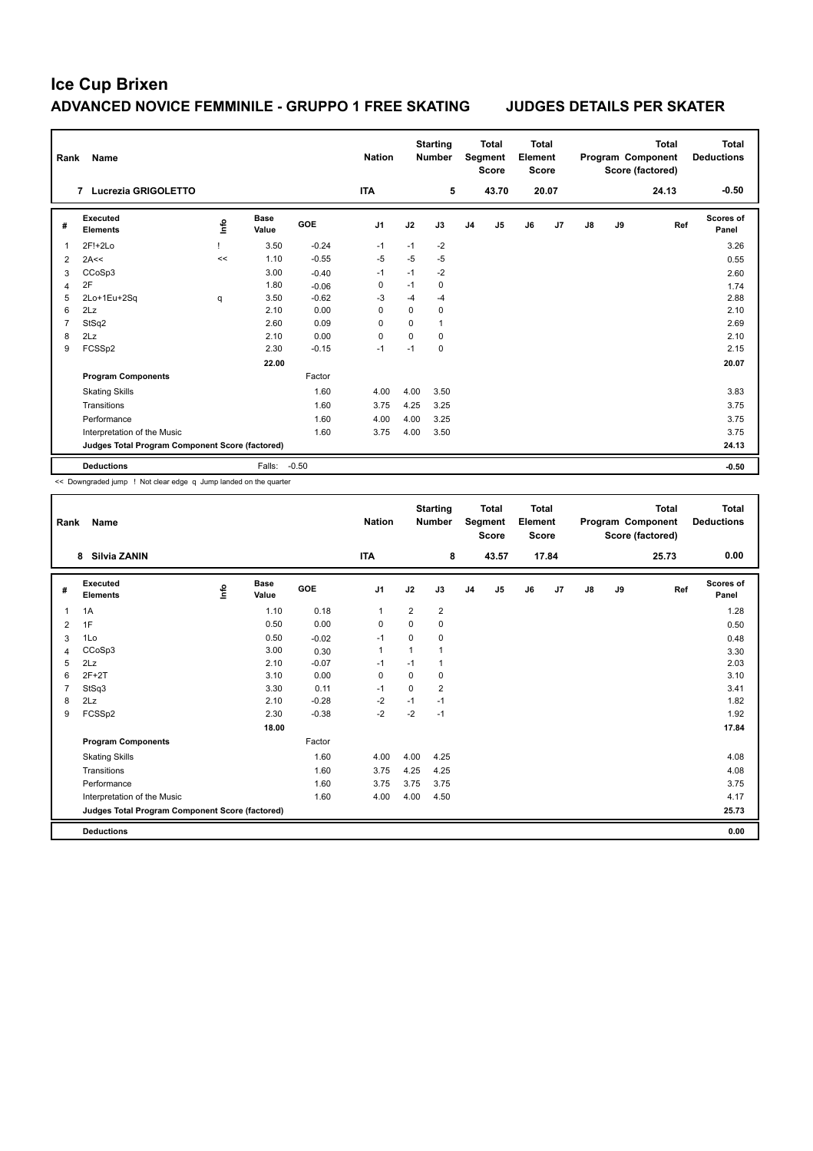| Rank                    | Name                                            |                                  |                      |            | <b>Nation</b>  |          | <b>Starting</b><br><b>Number</b> |                | <b>Total</b><br>Segment<br><b>Score</b> | Total<br>Element<br>Score |       |    |    | Total<br>Program Component<br>Score (factored) | Total<br><b>Deductions</b> |
|-------------------------|-------------------------------------------------|----------------------------------|----------------------|------------|----------------|----------|----------------------------------|----------------|-----------------------------------------|---------------------------|-------|----|----|------------------------------------------------|----------------------------|
|                         | Lucrezia GRIGOLETTO<br>$\overline{7}$           |                                  |                      |            | <b>ITA</b>     |          | 5                                |                | 43.70                                   |                           | 20.07 |    |    | 24.13                                          | $-0.50$                    |
| #                       | Executed<br><b>Elements</b>                     | $\mathop{\mathsf{Int}}\nolimits$ | <b>Base</b><br>Value | <b>GOE</b> | J <sub>1</sub> | J2       | J3                               | J <sub>4</sub> | J <sub>5</sub>                          | J6                        | J7    | J8 | J9 | Ref                                            | <b>Scores of</b><br>Panel  |
| $\overline{\mathbf{1}}$ | 2F!+2Lo                                         |                                  | 3.50                 | $-0.24$    | $-1$           | $-1$     | $-2$                             |                |                                         |                           |       |    |    |                                                | 3.26                       |
| $\overline{2}$          | 2A<<                                            | <<                               | 1.10                 | $-0.55$    | $-5$           | $-5$     | $-5$                             |                |                                         |                           |       |    |    |                                                | 0.55                       |
| 3                       | CCoSp3                                          |                                  | 3.00                 | $-0.40$    | $-1$           | $-1$     | $-2$                             |                |                                         |                           |       |    |    |                                                | 2.60                       |
| $\overline{4}$          | 2F                                              |                                  | 1.80                 | $-0.06$    | 0              | $-1$     | $\mathbf 0$                      |                |                                         |                           |       |    |    |                                                | 1.74                       |
| 5                       | 2Lo+1Eu+2Sq                                     | q                                | 3.50                 | $-0.62$    | -3             | $-4$     | $-4$                             |                |                                         |                           |       |    |    |                                                | 2.88                       |
| 6                       | 2Lz                                             |                                  | 2.10                 | 0.00       | $\Omega$       | 0        | 0                                |                |                                         |                           |       |    |    |                                                | 2.10                       |
| $\overline{7}$          | StSq2                                           |                                  | 2.60                 | 0.09       | $\Omega$       | $\Omega$ | $\mathbf{1}$                     |                |                                         |                           |       |    |    |                                                | 2.69                       |
| 8                       | 2Lz                                             |                                  | 2.10                 | 0.00       | 0              | $\Omega$ | $\mathbf 0$                      |                |                                         |                           |       |    |    |                                                | 2.10                       |
| 9                       | FCSSp2                                          |                                  | 2.30                 | $-0.15$    | $-1$           | $-1$     | $\mathbf 0$                      |                |                                         |                           |       |    |    |                                                | 2.15                       |
|                         |                                                 |                                  | 22.00                |            |                |          |                                  |                |                                         |                           |       |    |    |                                                | 20.07                      |
|                         | <b>Program Components</b>                       |                                  |                      | Factor     |                |          |                                  |                |                                         |                           |       |    |    |                                                |                            |
|                         | <b>Skating Skills</b>                           |                                  |                      | 1.60       | 4.00           | 4.00     | 3.50                             |                |                                         |                           |       |    |    |                                                | 3.83                       |
|                         | Transitions                                     |                                  |                      | 1.60       | 3.75           | 4.25     | 3.25                             |                |                                         |                           |       |    |    |                                                | 3.75                       |
|                         | Performance                                     |                                  |                      | 1.60       | 4.00           | 4.00     | 3.25                             |                |                                         |                           |       |    |    |                                                | 3.75                       |
|                         | Interpretation of the Music                     |                                  |                      | 1.60       | 3.75           | 4.00     | 3.50                             |                |                                         |                           |       |    |    |                                                | 3.75                       |
|                         | Judges Total Program Component Score (factored) |                                  |                      |            |                |          |                                  |                |                                         |                           |       |    |    |                                                | 24.13                      |
|                         | <b>Deductions</b>                               |                                  | Falls:               | $-0.50$    |                |          |                                  |                |                                         |                           |       |    |    |                                                | $-0.50$                    |

<< Downgraded jump ! Not clear edge q Jump landed on the quarter

| Rank | <b>Name</b>                                     |      |                      |            | <b>Nation</b>  |                | <b>Starting</b><br><b>Number</b> |                | <b>Total</b><br>Segment<br><b>Score</b> | <b>Total</b><br>Element<br><b>Score</b> |                |               |    | <b>Total</b><br>Program Component<br>Score (factored) | Total<br><b>Deductions</b> |
|------|-------------------------------------------------|------|----------------------|------------|----------------|----------------|----------------------------------|----------------|-----------------------------------------|-----------------------------------------|----------------|---------------|----|-------------------------------------------------------|----------------------------|
|      | Silvia ZANIN<br>8                               |      |                      |            | <b>ITA</b>     |                | 8                                |                | 43.57                                   |                                         | 17.84          |               |    | 25.73                                                 | 0.00                       |
| #    | Executed<br><b>Elements</b>                     | ١nf٥ | <b>Base</b><br>Value | <b>GOE</b> | J <sub>1</sub> | J2             | J3                               | J <sub>4</sub> | J <sub>5</sub>                          | J6                                      | J <sub>7</sub> | $\mathsf{J}8$ | J9 | Ref                                                   | Scores of<br>Panel         |
| 1    | 1A                                              |      | 1.10                 | 0.18       | $\mathbf{1}$   | $\overline{2}$ | $\overline{\mathbf{c}}$          |                |                                         |                                         |                |               |    |                                                       | 1.28                       |
| 2    | 1F                                              |      | 0.50                 | 0.00       | 0              | $\Omega$       | 0                                |                |                                         |                                         |                |               |    |                                                       | 0.50                       |
| 3    | 1Lo                                             |      | 0.50                 | $-0.02$    | $-1$           | $\Omega$       | 0                                |                |                                         |                                         |                |               |    |                                                       | 0.48                       |
| 4    | CCoSp3                                          |      | 3.00                 | 0.30       | $\mathbf{1}$   |                | 1                                |                |                                         |                                         |                |               |    |                                                       | 3.30                       |
| 5    | 2Lz                                             |      | 2.10                 | $-0.07$    | -1             | $-1$           | 1                                |                |                                         |                                         |                |               |    |                                                       | 2.03                       |
| 6    | $2F+2T$                                         |      | 3.10                 | 0.00       | 0              | 0              | 0                                |                |                                         |                                         |                |               |    |                                                       | 3.10                       |
| 7    | StSq3                                           |      | 3.30                 | 0.11       | $-1$           | $\Omega$       | $\overline{2}$                   |                |                                         |                                         |                |               |    |                                                       | 3.41                       |
| 8    | 2Lz                                             |      | 2.10                 | $-0.28$    | -2             | $-1$           | $-1$                             |                |                                         |                                         |                |               |    |                                                       | 1.82                       |
| 9    | FCSSp2                                          |      | 2.30                 | $-0.38$    | $-2$           | $-2$           | $-1$                             |                |                                         |                                         |                |               |    |                                                       | 1.92                       |
|      |                                                 |      | 18.00                |            |                |                |                                  |                |                                         |                                         |                |               |    |                                                       | 17.84                      |
|      | <b>Program Components</b>                       |      |                      | Factor     |                |                |                                  |                |                                         |                                         |                |               |    |                                                       |                            |
|      | <b>Skating Skills</b>                           |      |                      | 1.60       | 4.00           | 4.00           | 4.25                             |                |                                         |                                         |                |               |    |                                                       | 4.08                       |
|      | Transitions                                     |      |                      | 1.60       | 3.75           | 4.25           | 4.25                             |                |                                         |                                         |                |               |    |                                                       | 4.08                       |
|      | Performance                                     |      |                      | 1.60       | 3.75           | 3.75           | 3.75                             |                |                                         |                                         |                |               |    |                                                       | 3.75                       |
|      | Interpretation of the Music                     |      |                      | 1.60       | 4.00           | 4.00           | 4.50                             |                |                                         |                                         |                |               |    |                                                       | 4.17                       |
|      | Judges Total Program Component Score (factored) |      |                      |            |                |                |                                  |                |                                         |                                         |                |               |    |                                                       | 25.73                      |
|      | <b>Deductions</b>                               |      |                      |            |                |                |                                  |                |                                         |                                         |                |               |    |                                                       | 0.00                       |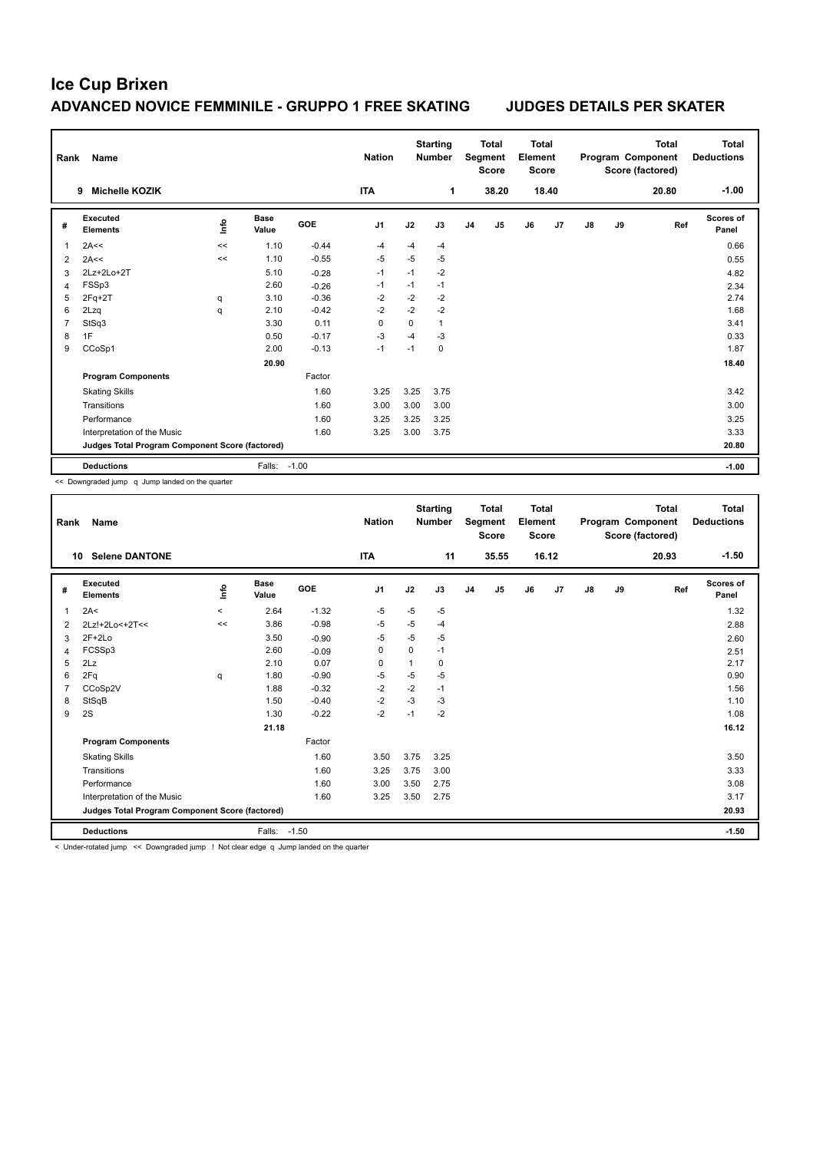| Rank           | Name                                            |      |                      |            | <b>Nation</b>  |          | <b>Starting</b><br><b>Number</b> |                | <b>Total</b><br>Segment<br><b>Score</b> | Total<br>Element<br><b>Score</b> |                |               |    | Total<br>Program Component<br>Score (factored) | Total<br><b>Deductions</b> |
|----------------|-------------------------------------------------|------|----------------------|------------|----------------|----------|----------------------------------|----------------|-----------------------------------------|----------------------------------|----------------|---------------|----|------------------------------------------------|----------------------------|
|                | <b>Michelle KOZIK</b><br>9                      |      |                      |            | <b>ITA</b>     |          | 1                                |                | 38.20                                   |                                  | 18.40          |               |    | 20.80                                          | $-1.00$                    |
| #              | Executed<br><b>Elements</b>                     | ١nfo | <b>Base</b><br>Value | <b>GOE</b> | J <sub>1</sub> | J2       | J3                               | J <sub>4</sub> | J <sub>5</sub>                          | J6                               | J <sub>7</sub> | $\mathsf{J}8$ | J9 | Ref                                            | Scores of<br>Panel         |
| 1              | 2A<<                                            | <<   | 1.10                 | $-0.44$    | $-4$           | $-4$     | $-4$                             |                |                                         |                                  |                |               |    |                                                | 0.66                       |
| 2              | 2A<<                                            | <<   | 1.10                 | $-0.55$    | $-5$           | $-5$     | $-5$                             |                |                                         |                                  |                |               |    |                                                | 0.55                       |
| 3              | 2Lz+2Lo+2T                                      |      | 5.10                 | $-0.28$    | $-1$           | $-1$     | $-2$                             |                |                                         |                                  |                |               |    |                                                | 4.82                       |
| $\overline{4}$ | FSSp3                                           |      | 2.60                 | $-0.26$    | $-1$           | $-1$     | $-1$                             |                |                                         |                                  |                |               |    |                                                | 2.34                       |
| 5              | $2Fq+2T$                                        | q    | 3.10                 | $-0.36$    | $-2$           | $-2$     | $-2$                             |                |                                         |                                  |                |               |    |                                                | 2.74                       |
| 6              | 2Lzq                                            | q    | 2.10                 | $-0.42$    | $-2$           | $-2$     | $-2$                             |                |                                         |                                  |                |               |    |                                                | 1.68                       |
| $\overline{7}$ | StSq3                                           |      | 3.30                 | 0.11       | 0              | $\Omega$ | $\mathbf{1}$                     |                |                                         |                                  |                |               |    |                                                | 3.41                       |
| 8              | 1F                                              |      | 0.50                 | $-0.17$    | $-3$           | $-4$     | $-3$                             |                |                                         |                                  |                |               |    |                                                | 0.33                       |
| 9              | CCoSp1                                          |      | 2.00                 | $-0.13$    | $-1$           | $-1$     | $\mathbf 0$                      |                |                                         |                                  |                |               |    |                                                | 1.87                       |
|                |                                                 |      | 20.90                |            |                |          |                                  |                |                                         |                                  |                |               |    |                                                | 18.40                      |
|                | <b>Program Components</b>                       |      |                      | Factor     |                |          |                                  |                |                                         |                                  |                |               |    |                                                |                            |
|                | <b>Skating Skills</b>                           |      |                      | 1.60       | 3.25           | 3.25     | 3.75                             |                |                                         |                                  |                |               |    |                                                | 3.42                       |
|                | Transitions                                     |      |                      | 1.60       | 3.00           | 3.00     | 3.00                             |                |                                         |                                  |                |               |    |                                                | 3.00                       |
|                | Performance                                     |      |                      | 1.60       | 3.25           | 3.25     | 3.25                             |                |                                         |                                  |                |               |    |                                                | 3.25                       |
|                | Interpretation of the Music                     |      |                      | 1.60       | 3.25           | 3.00     | 3.75                             |                |                                         |                                  |                |               |    |                                                | 3.33                       |
|                | Judges Total Program Component Score (factored) |      |                      |            |                |          |                                  |                |                                         |                                  |                |               |    |                                                | 20.80                      |
|                | <b>Deductions</b>                               |      | Falls:               | $-1.00$    |                |          |                                  |                |                                         |                                  |                |               |    |                                                | $-1.00$                    |

<< Downgraded jump q Jump landed on the quarter

| Rank | <b>Name</b>                                     |          |                      |         | <b>Nation</b>  |              | <b>Starting</b><br><b>Number</b> |                | <b>Total</b><br>Segment<br><b>Score</b> | <b>Total</b><br>Element<br><b>Score</b> |       |               |    | <b>Total</b><br>Program Component<br>Score (factored) | Total<br><b>Deductions</b> |
|------|-------------------------------------------------|----------|----------------------|---------|----------------|--------------|----------------------------------|----------------|-----------------------------------------|-----------------------------------------|-------|---------------|----|-------------------------------------------------------|----------------------------|
| 10   | <b>Selene DANTONE</b>                           |          |                      |         | <b>ITA</b>     |              | 11                               |                | 35.55                                   |                                         | 16.12 |               |    | 20.93                                                 | $-1.50$                    |
| #    | Executed<br><b>Elements</b>                     | Info     | <b>Base</b><br>Value | GOE     | J <sub>1</sub> | J2           | J3                               | J <sub>4</sub> | J5                                      | J6                                      | J7    | $\mathsf{J}8$ | J9 | Ref                                                   | Scores of<br>Panel         |
| 1    | 2A<                                             | $\hat{}$ | 2.64                 | $-1.32$ | $-5$           | $-5$         | $-5$                             |                |                                         |                                         |       |               |    |                                                       | 1.32                       |
| 2    | 2Lz!+2Lo<+2T<<                                  | <<       | 3.86                 | $-0.98$ | -5             | $-5$         | $-4$                             |                |                                         |                                         |       |               |    |                                                       | 2.88                       |
| 3    | $2F+2Lo$                                        |          | 3.50                 | $-0.90$ | $-5$           | $-5$         | $-5$                             |                |                                         |                                         |       |               |    |                                                       | 2.60                       |
| 4    | FCSSp3                                          |          | 2.60                 | $-0.09$ | 0              | $\mathbf 0$  | $-1$                             |                |                                         |                                         |       |               |    |                                                       | 2.51                       |
| 5    | 2Lz                                             |          | 2.10                 | 0.07    | $\mathbf 0$    | $\mathbf{1}$ | 0                                |                |                                         |                                         |       |               |    |                                                       | 2.17                       |
| 6    | 2Fq                                             | q        | 1.80                 | $-0.90$ | $-5$           | $-5$         | $-5$                             |                |                                         |                                         |       |               |    |                                                       | 0.90                       |
|      | CCoSp2V                                         |          | 1.88                 | $-0.32$ | $-2$           | $-2$         | $-1$                             |                |                                         |                                         |       |               |    |                                                       | 1.56                       |
| 8    | StSqB                                           |          | 1.50                 | $-0.40$ | $-2$           | $-3$         | $-3$                             |                |                                         |                                         |       |               |    |                                                       | 1.10                       |
| 9    | 2S                                              |          | 1.30                 | $-0.22$ | $-2$           | $-1$         | $-2$                             |                |                                         |                                         |       |               |    |                                                       | 1.08                       |
|      |                                                 |          | 21.18                |         |                |              |                                  |                |                                         |                                         |       |               |    |                                                       | 16.12                      |
|      | <b>Program Components</b>                       |          |                      | Factor  |                |              |                                  |                |                                         |                                         |       |               |    |                                                       |                            |
|      | <b>Skating Skills</b>                           |          |                      | 1.60    | 3.50           | 3.75         | 3.25                             |                |                                         |                                         |       |               |    |                                                       | 3.50                       |
|      | Transitions                                     |          |                      | 1.60    | 3.25           | 3.75         | 3.00                             |                |                                         |                                         |       |               |    |                                                       | 3.33                       |
|      | Performance                                     |          |                      | 1.60    | 3.00           | 3.50         | 2.75                             |                |                                         |                                         |       |               |    |                                                       | 3.08                       |
|      | Interpretation of the Music                     |          |                      | 1.60    | 3.25           | 3.50         | 2.75                             |                |                                         |                                         |       |               |    |                                                       | 3.17                       |
|      | Judges Total Program Component Score (factored) |          |                      |         |                |              |                                  |                |                                         |                                         |       |               |    |                                                       | 20.93                      |
|      | <b>Deductions</b>                               |          | Falls:               | $-1.50$ |                |              |                                  |                |                                         |                                         |       |               |    |                                                       | $-1.50$                    |

< Under-rotated jump << Downgraded jump ! Not clear edge q Jump landed on the quarter